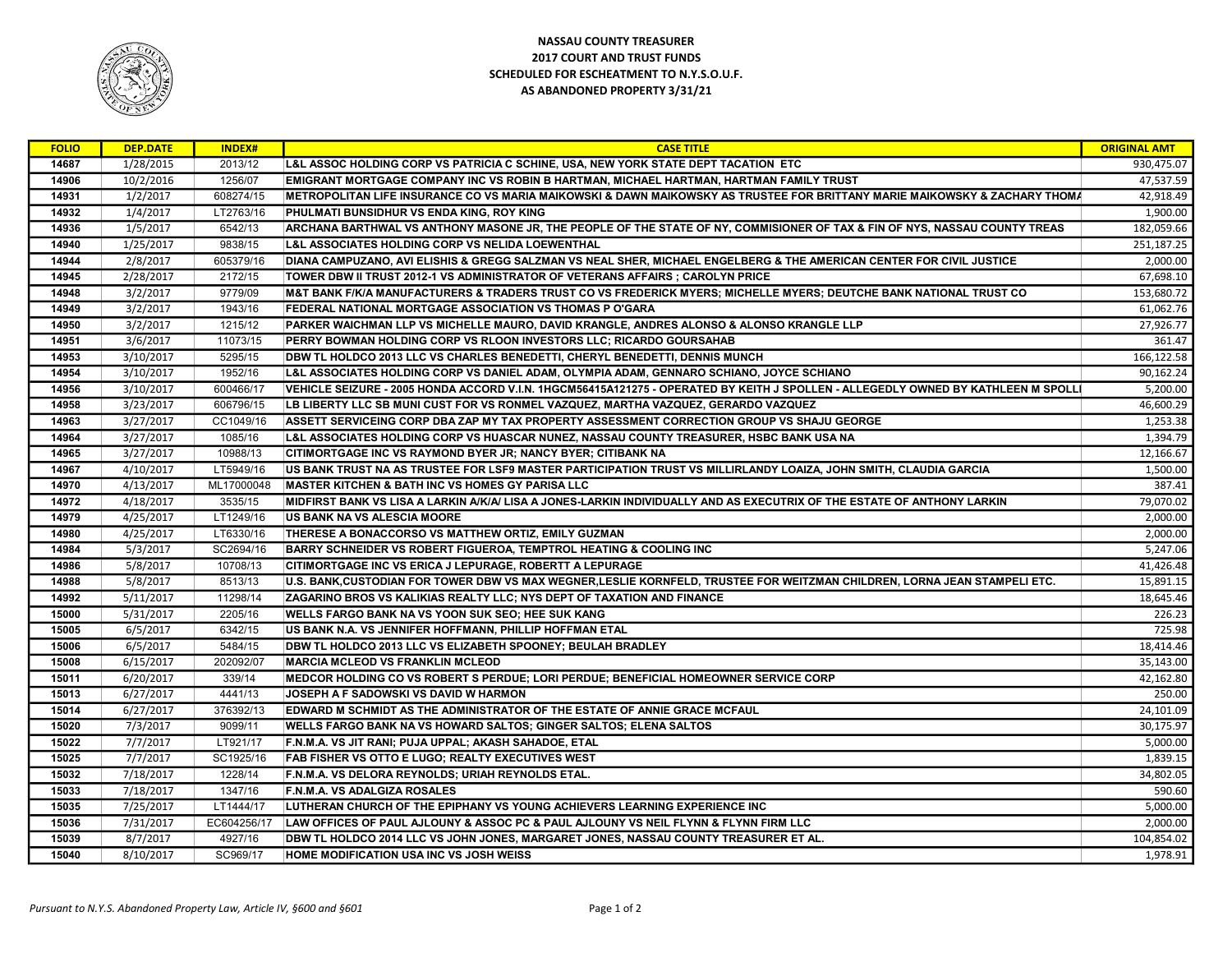

## NASSAU COUNTY TREASURER 2017 COURT AND TRUST FUNDS SCHEDULED FOR ESCHEATMENT TO N.Y.S.O.U.F. AS ABANDONED PROPERTY 3/31/21

| <b>FOLIO</b> | <b>DEP.DATE</b> | <b>INDEX#</b> | <b>CASE TITLE</b>                                                                                                                 | <b>ORIGINAL AMT</b> |
|--------------|-----------------|---------------|-----------------------------------------------------------------------------------------------------------------------------------|---------------------|
| 14687        | 1/28/2015       | 2013/12       | L&L ASSOC HOLDING CORP VS PATRICIA C SCHINE, USA, NEW YORK STATE DEPT TACATION ETC                                                | 930,475.07          |
| 14906        | 10/2/2016       | 1256/07       | EMIGRANT MORTGAGE COMPANY INC VS ROBIN B HARTMAN, MICHAEL HARTMAN, HARTMAN FAMILY TRUST                                           | 47,537.59           |
| 14931        | 1/2/2017        | 608274/15     | METROPOLITAN LIFE INSURANCE CO VS MARIA MAIKOWSKI & DAWN MAIKOWSKY AS TRUSTEE FOR BRITTANY MARIE MAIKOWSKY & ZACHARY THOMA        | 42,918.49           |
| 14932        | 1/4/2017        | LT2763/16     | PHULMATI BUNSIDHUR VS ENDA KING, ROY KING                                                                                         | 1,900.00            |
| 14936        | 1/5/2017        | 6542/13       | ARCHANA BARTHWAL VS ANTHONY MASONE JR, THE PEOPLE OF THE STATE OF NY, COMMISIONER OF TAX & FIN OF NYS, NASSAU COUNTY TREAS        | 182,059.66          |
| 14940        | 1/25/2017       | 9838/15       | L&L ASSOCIATES HOLDING CORP VS NELIDA LOEWENTHAL                                                                                  | 251,187.25          |
| 14944        | 2/8/2017        | 605379/16     | DIANA CAMPUZANO, AVI ELISHIS & GREGG SALZMAN VS NEAL SHER, MICHAEL ENGELBERG & THE AMERICAN CENTER FOR CIVIL JUSTICE              | 2,000.00            |
| 14945        | 2/28/2017       | 2172/15       | TOWER DBW II TRUST 2012-1 VS ADMINISTRATOR OF VETERANS AFFAIRS; CAROLYN PRICE                                                     | 67,698.10           |
| 14948        | 3/2/2017        | 9779/09       | M&T BANK F/K/A MANUFACTURERS & TRADERS TRUST CO VS FREDERICK MYERS; MICHELLE MYERS; DEUTCHE BANK NATIONAL TRUST CO                | 153,680.72          |
| 14949        | 3/2/2017        | 1943/16       | FEDERAL NATIONAL MORTGAGE ASSOCIATION VS THOMAS P O'GARA                                                                          | 61,062.76           |
| 14950        | 3/2/2017        | 1215/12       | PARKER WAICHMAN LLP VS MICHELLE MAURO, DAVID KRANGLE, ANDRES ALONSO & ALONSO KRANGLE LLP                                          | 27,926.77           |
| 14951        | 3/6/2017        | 11073/15      | PERRY BOWMAN HOLDING CORP VS RLOON INVESTORS LLC; RICARDO GOURSAHAB                                                               | 361.47              |
| 14953        | 3/10/2017       | 5295/15       | DBW TL HOLDCO 2013 LLC VS CHARLES BENEDETTI, CHERYL BENEDETTI, DENNIS MUNCH                                                       | 166,122.58          |
| 14954        | 3/10/2017       | 1952/16       | L&L ASSOCIATES HOLDING CORP VS DANIEL ADAM, OLYMPIA ADAM, GENNARO SCHIANO, JOYCE SCHIANO                                          | 90,162.24           |
| 14956        | 3/10/2017       | 600466/17     | VEHICLE SEIZURE - 2005 HONDA ACCORD V.I.N. 1HGCM56415A121275 - OPERATED BY KEITH J SPOLLEN - ALLEGEDLY OWNED BY KATHLEEN M SPOLLI | 5,200.00            |
| 14958        | 3/23/2017       | 606796/15     | LB LIBERTY LLC SB MUNI CUST FOR VS RONMEL VAZQUEZ, MARTHA VAZQUEZ, GERARDO VAZQUEZ                                                | 46,600.29           |
| 14963        | 3/27/2017       | CC1049/16     | ASSETT SERVICEING CORP DBA ZAP MY TAX PROPERTY ASSESSMENT CORRECTION GROUP VS SHAJU GEORGE                                        | 1,253.38            |
| 14964        | 3/27/2017       | 1085/16       | L&L ASSOCIATES HOLDING CORP VS HUASCAR NUNEZ, NASSAU COUNTY TREASURER, HSBC BANK USA NA                                           | 1,394.79            |
| 14965        | 3/27/2017       | 10988/13      | CITIMORTGAGE INC VS RAYMOND BYER JR; NANCY BYER; CITIBANK NA                                                                      | 12,166.67           |
| 14967        | 4/10/2017       | LT5949/16     | US BANK TRUST NA AS TRUSTEE FOR LSF9 MASTER PARTICIPATION TRUST VS MILLIRLANDY LOAIZA, JOHN SMITH, CLAUDIA GARCIA                 | 1,500.00            |
| 14970        | 4/13/2017       | ML17000048    | <b>MASTER KITCHEN &amp; BATH INC VS HOMES GY PARISA LLC</b>                                                                       | 387.41              |
| 14972        | 4/18/2017       | 3535/15       | MIDFIRST BANK VS LISA A LARKIN A/K/A/ LISA A JONES-LARKIN INDIVIDUALLY AND AS EXECUTRIX OF THE ESTATE OF ANTHONY LARKIN           | 79,070.02           |
| 14979        | 4/25/2017       | LT1249/16     | US BANK NA VS ALESCIA MOORE                                                                                                       | 2,000.00            |
| 14980        | 4/25/2017       | LT6330/16     | THERESE A BONACCORSO VS MATTHEW ORTIZ, EMILY GUZMAN                                                                               | 2,000.00            |
| 14984        | 5/3/2017        | SC2694/16     | <b>BARRY SCHNEIDER VS ROBERT FIGUEROA, TEMPTROL HEATING &amp; COOLING INC</b>                                                     | 5,247.06            |
| 14986        | 5/8/2017        | 10708/13      | CITIMORTGAGE INC VS ERICA J LEPURAGE, ROBERTT A LEPURAGE                                                                          | 41,426.48           |
| 14988        | 5/8/2017        | 8513/13       | U.S. BANK,CUSTODIAN FOR TOWER DBW VS MAX WEGNER,LESLIE KORNFELD, TRUSTEE FOR WEITZMAN CHILDREN, LORNA JEAN STAMPELI ETC.          | 15,891.15           |
| 14992        | 5/11/2017       | 11298/14      | ZAGARINO BROS VS KALIKIAS REALTY LLC; NYS DEPT OF TAXATION AND FINANCE                                                            | 18,645.46           |
| 15000        | 5/31/2017       | 2205/16       | <b>WELLS FARGO BANK NA VS YOON SUK SEO: HEE SUK KANG</b>                                                                          | 226.23              |
| 15005        | 6/5/2017        | 6342/15       | US BANK N.A. VS JENNIFER HOFFMANN, PHILLIP HOFFMAN ETAL                                                                           | 725.98              |
| 15006        | 6/5/2017        | 5484/15       | DBW TL HOLDCO 2013 LLC VS ELIZABETH SPOONEY; BEULAH BRADLEY                                                                       | 18,414.46           |
| 15008        | 6/15/2017       | 202092/07     | <b>MARCIA MCLEOD VS FRANKLIN MCLEOD</b>                                                                                           | 35,143.00           |
| 15011        | 6/20/2017       | 339/14        | MEDCOR HOLDING CO VS ROBERT S PERDUE; LORI PERDUE; BENEFICIAL HOMEOWNER SERVICE CORP                                              | 42,162.80           |
| 15013        | 6/27/2017       | 4441/13       | JOSEPH A F SADOWSKI VS DAVID W HARMON                                                                                             | 250.00              |
| 15014        | 6/27/2017       | 376392/13     | EDWARD M SCHMIDT AS THE ADMINISTRATOR OF THE ESTATE OF ANNIE GRACE MCFAUL                                                         | 24,101.09           |
| 15020        | 7/3/2017        | 9099/11       | WELLS FARGO BANK NA VS HOWARD SALTOS; GINGER SALTOS; ELENA SALTOS                                                                 | 30,175.97           |
| 15022        | 7/7/2017        | LT921/17      | F.N.M.A. VS JIT RANI; PUJA UPPAL; AKASH SAHADOE, ETAL                                                                             | 5,000.00            |
| 15025        | 7/7/2017        | SC1925/16     | FAB FISHER VS OTTO E LUGO; REALTY EXECUTIVES WEST                                                                                 | 1,839.15            |
| 15032        | 7/18/2017       | 1228/14       | F.N.M.A. VS DELORA REYNOLDS; URIAH REYNOLDS ETAL.                                                                                 | 34,802.05           |
| 15033        | 7/18/2017       | 1347/16       | <b>F.N.M.A. VS ADALGIZA ROSALES</b>                                                                                               | 590.60              |
| 15035        | 7/25/2017       | LT1444/17     | LUTHERAN CHURCH OF THE EPIPHANY VS YOUNG ACHIEVERS LEARNING EXPERIENCE INC                                                        | 5,000.00            |
| 15036        | 7/31/2017       | EC604256/17   | LAW OFFICES OF PAUL AJLOUNY & ASSOC PC & PAUL AJLOUNY VS NEIL FLYNN & FLYNN FIRM LLC                                              | 2,000.00            |
| 15039        | 8/7/2017        | 4927/16       | DBW TL HOLDCO 2014 LLC VS JOHN JONES, MARGARET JONES, NASSAU COUNTY TREASURER ET AL.                                              | 104,854.02          |
| 15040        | 8/10/2017       | SC969/17      | HOME MODIFICATION USA INC VS JOSH WEISS                                                                                           | 1,978.91            |